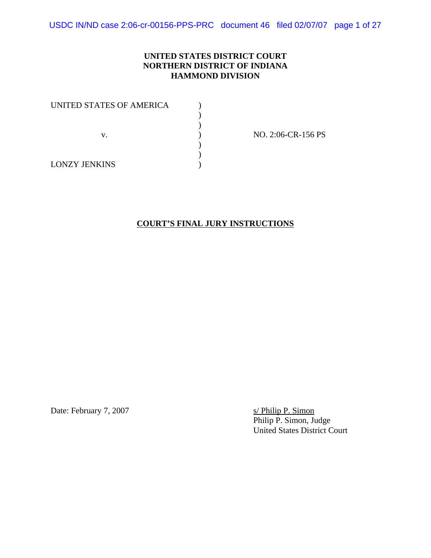USDC IN/ND case 2:06-cr-00156-PPS-PRC document 46 filed 02/07/07 page 1 of 27

#### **UNITED STATES DISTRICT COURT NORTHERN DISTRICT OF INDIANA HAMMOND DIVISION**

| UNITED STATES OF AMERICA |  |
|--------------------------|--|
|                          |  |
|                          |  |
| V.                       |  |
|                          |  |
|                          |  |
| <b>LONZY JENKINS</b>     |  |

NO. 2:06-CR-156 PS

**COURT'S FINAL JURY INSTRUCTIONS**

Date: February 7, 2007 s/ Philip P. Simon

Philip P. Simon, Judge United States District Court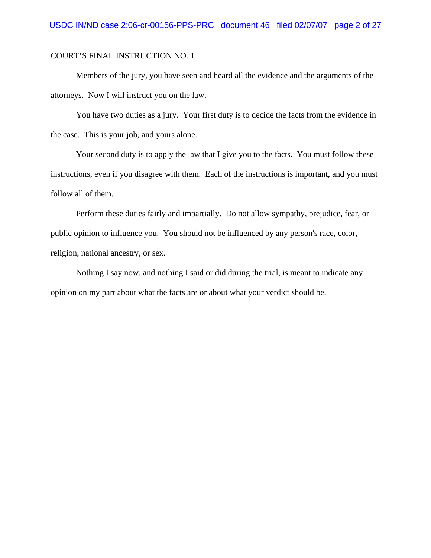Members of the jury, you have seen and heard all the evidence and the arguments of the attorneys. Now I will instruct you on the law.

You have two duties as a jury. Your first duty is to decide the facts from the evidence in the case. This is your job, and yours alone.

Your second duty is to apply the law that I give you to the facts. You must follow these instructions, even if you disagree with them. Each of the instructions is important, and you must follow all of them.

Perform these duties fairly and impartially. Do not allow sympathy, prejudice, fear, or public opinion to influence you. You should not be influenced by any person's race, color, religion, national ancestry, or sex.

Nothing I say now, and nothing I said or did during the trial, is meant to indicate any opinion on my part about what the facts are or about what your verdict should be.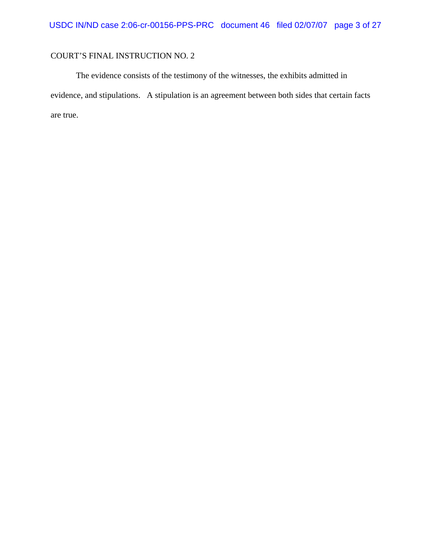The evidence consists of the testimony of the witnesses, the exhibits admitted in evidence, and stipulations. A stipulation is an agreement between both sides that certain facts are true.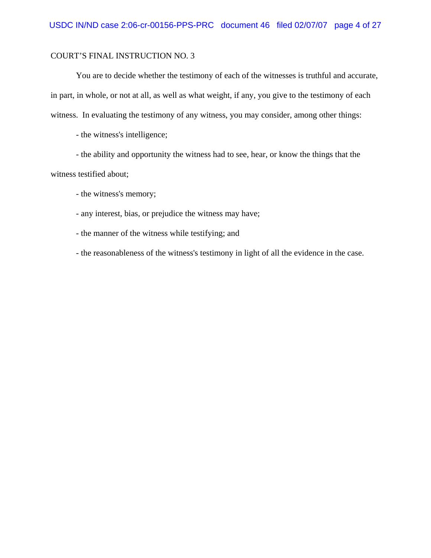You are to decide whether the testimony of each of the witnesses is truthful and accurate, in part, in whole, or not at all, as well as what weight, if any, you give to the testimony of each witness. In evaluating the testimony of any witness, you may consider, among other things:

- the witness's intelligence;

- the ability and opportunity the witness had to see, hear, or know the things that the witness testified about;

- the witness's memory;

- any interest, bias, or prejudice the witness may have;

- the manner of the witness while testifying; and

- the reasonableness of the witness's testimony in light of all the evidence in the case.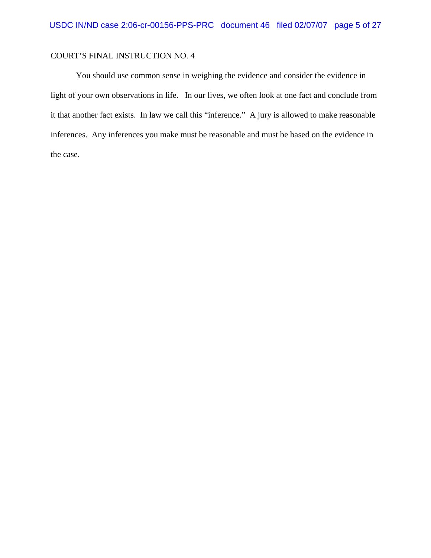You should use common sense in weighing the evidence and consider the evidence in light of your own observations in life. In our lives, we often look at one fact and conclude from it that another fact exists. In law we call this "inference." A jury is allowed to make reasonable inferences. Any inferences you make must be reasonable and must be based on the evidence in the case.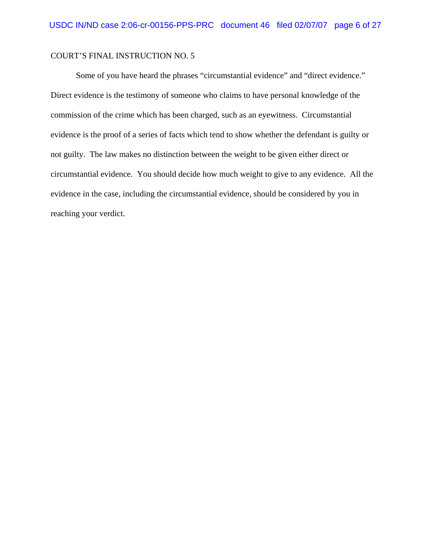Some of you have heard the phrases "circumstantial evidence" and "direct evidence." Direct evidence is the testimony of someone who claims to have personal knowledge of the commission of the crime which has been charged, such as an eyewitness. Circumstantial evidence is the proof of a series of facts which tend to show whether the defendant is guilty or not guilty. The law makes no distinction between the weight to be given either direct or circumstantial evidence. You should decide how much weight to give to any evidence. All the evidence in the case, including the circumstantial evidence, should be considered by you in reaching your verdict.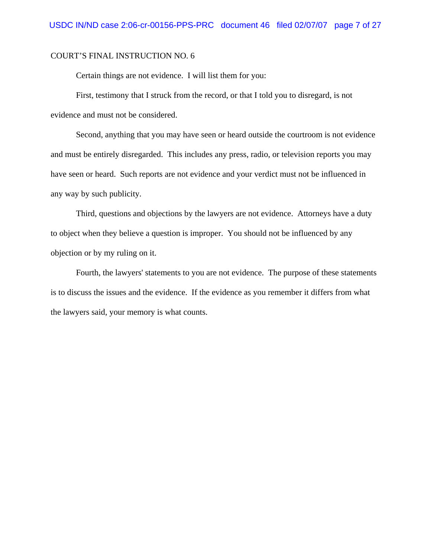Certain things are not evidence. I will list them for you:

First, testimony that I struck from the record, or that I told you to disregard, is not evidence and must not be considered.

Second, anything that you may have seen or heard outside the courtroom is not evidence and must be entirely disregarded. This includes any press, radio, or television reports you may have seen or heard. Such reports are not evidence and your verdict must not be influenced in any way by such publicity.

Third, questions and objections by the lawyers are not evidence. Attorneys have a duty to object when they believe a question is improper. You should not be influenced by any objection or by my ruling on it.

Fourth, the lawyers' statements to you are not evidence. The purpose of these statements is to discuss the issues and the evidence. If the evidence as you remember it differs from what the lawyers said, your memory is what counts.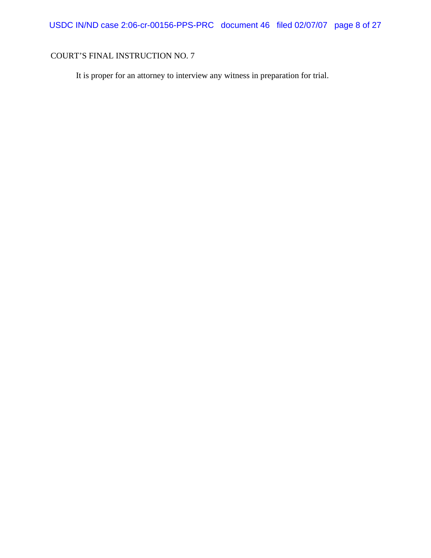It is proper for an attorney to interview any witness in preparation for trial.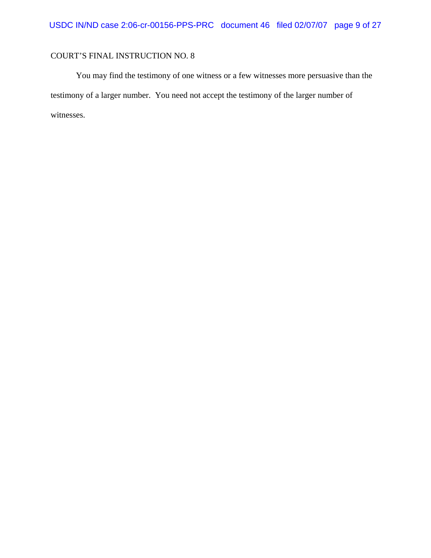You may find the testimony of one witness or a few witnesses more persuasive than the testimony of a larger number. You need not accept the testimony of the larger number of witnesses.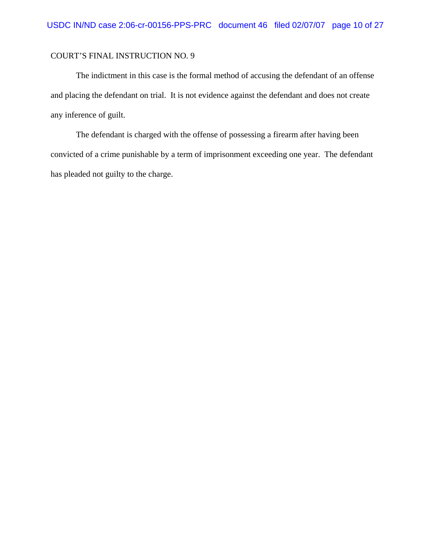The indictment in this case is the formal method of accusing the defendant of an offense and placing the defendant on trial. It is not evidence against the defendant and does not create any inference of guilt.

The defendant is charged with the offense of possessing a firearm after having been convicted of a crime punishable by a term of imprisonment exceeding one year. The defendant has pleaded not guilty to the charge.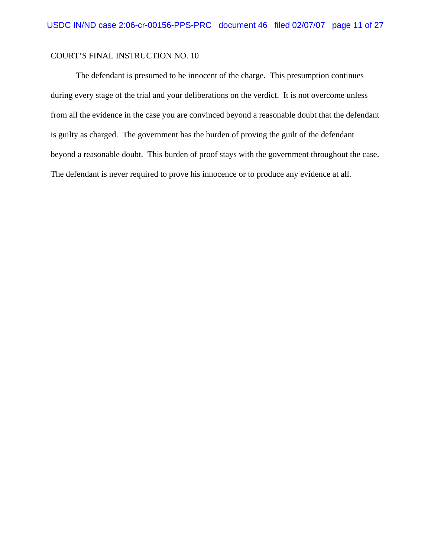The defendant is presumed to be innocent of the charge. This presumption continues during every stage of the trial and your deliberations on the verdict. It is not overcome unless from all the evidence in the case you are convinced beyond a reasonable doubt that the defendant is guilty as charged. The government has the burden of proving the guilt of the defendant beyond a reasonable doubt. This burden of proof stays with the government throughout the case. The defendant is never required to prove his innocence or to produce any evidence at all.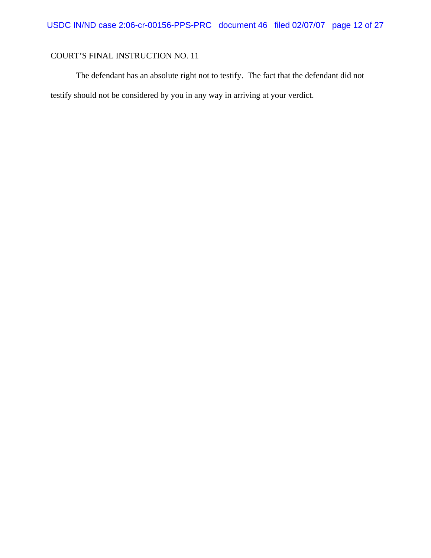The defendant has an absolute right not to testify. The fact that the defendant did not testify should not be considered by you in any way in arriving at your verdict.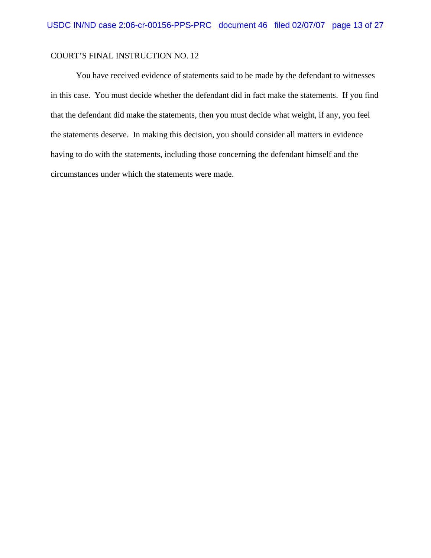You have received evidence of statements said to be made by the defendant to witnesses in this case. You must decide whether the defendant did in fact make the statements. If you find that the defendant did make the statements, then you must decide what weight, if any, you feel the statements deserve. In making this decision, you should consider all matters in evidence having to do with the statements, including those concerning the defendant himself and the circumstances under which the statements were made.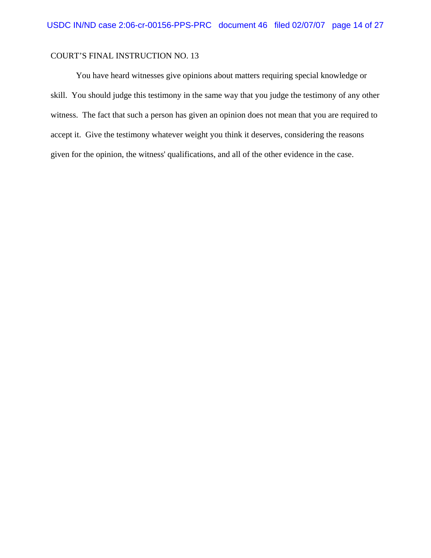You have heard witnesses give opinions about matters requiring special knowledge or skill. You should judge this testimony in the same way that you judge the testimony of any other witness. The fact that such a person has given an opinion does not mean that you are required to accept it. Give the testimony whatever weight you think it deserves, considering the reasons given for the opinion, the witness' qualifications, and all of the other evidence in the case.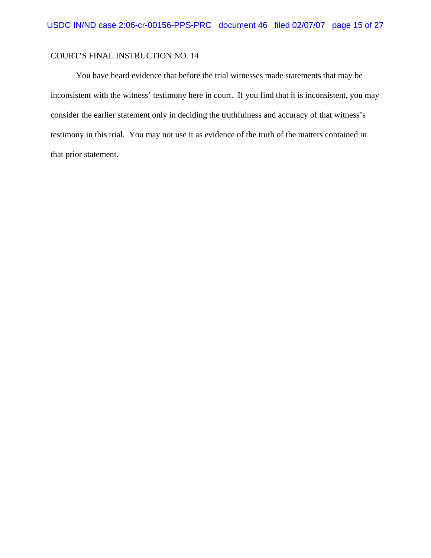You have heard evidence that before the trial witnesses made statements that may be inconsistent with the witness' testimony here in court. If you find that it is inconsistent, you may consider the earlier statement only in deciding the truthfulness and accuracy of that witness's testimony in this trial. You may not use it as evidence of the truth of the matters contained in that prior statement.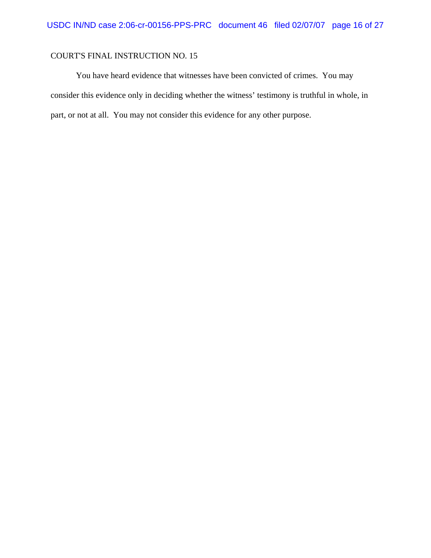You have heard evidence that witnesses have been convicted of crimes. You may consider this evidence only in deciding whether the witness' testimony is truthful in whole, in part, or not at all. You may not consider this evidence for any other purpose.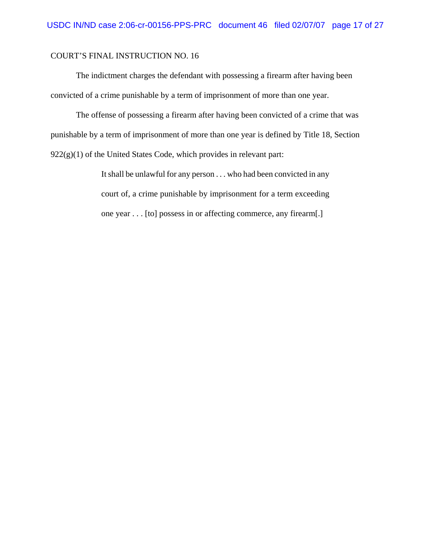The indictment charges the defendant with possessing a firearm after having been convicted of a crime punishable by a term of imprisonment of more than one year.

The offense of possessing a firearm after having been convicted of a crime that was punishable by a term of imprisonment of more than one year is defined by Title 18, Section  $922(g)(1)$  of the United States Code, which provides in relevant part:

> It shall be unlawful for any person . . . who had been convicted in any court of, a crime punishable by imprisonment for a term exceeding one year . . . [to] possess in or affecting commerce, any firearm[.]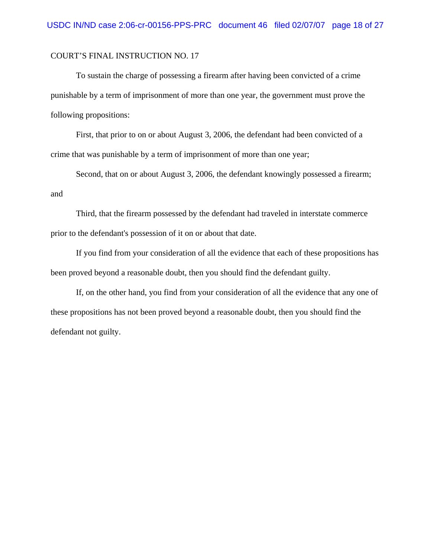To sustain the charge of possessing a firearm after having been convicted of a crime punishable by a term of imprisonment of more than one year, the government must prove the following propositions:

First, that prior to on or about August 3, 2006, the defendant had been convicted of a crime that was punishable by a term of imprisonment of more than one year;

Second, that on or about August 3, 2006, the defendant knowingly possessed a firearm; and

Third, that the firearm possessed by the defendant had traveled in interstate commerce prior to the defendant's possession of it on or about that date.

If you find from your consideration of all the evidence that each of these propositions has been proved beyond a reasonable doubt, then you should find the defendant guilty.

If, on the other hand, you find from your consideration of all the evidence that any one of these propositions has not been proved beyond a reasonable doubt, then you should find the defendant not guilty.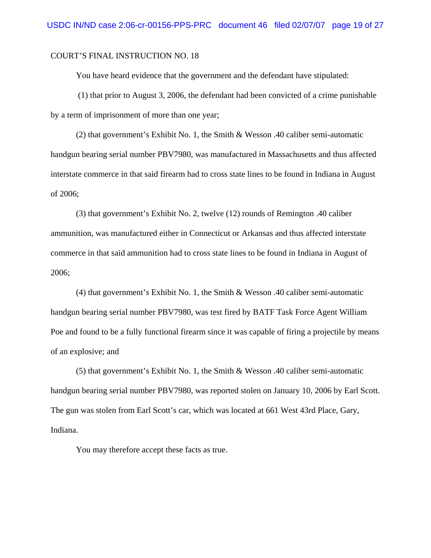You have heard evidence that the government and the defendant have stipulated:

 (1) that prior to August 3, 2006, the defendant had been convicted of a crime punishable by a term of imprisonment of more than one year;

(2) that government's Exhibit No. 1, the Smith & Wesson .40 caliber semi-automatic handgun bearing serial number PBV7980, was manufactured in Massachusetts and thus affected interstate commerce in that said firearm had to cross state lines to be found in Indiana in August of 2006;

(3) that government's Exhibit No. 2, twelve (12) rounds of Remington .40 caliber ammunition, was manufactured either in Connecticut or Arkansas and thus affected interstate commerce in that said ammunition had to cross state lines to be found in Indiana in August of 2006;

(4) that government's Exhibit No. 1, the Smith & Wesson .40 caliber semi-automatic handgun bearing serial number PBV7980, was test fired by BATF Task Force Agent William Poe and found to be a fully functional firearm since it was capable of firing a projectile by means of an explosive; and

(5) that government's Exhibit No. 1, the Smith & Wesson .40 caliber semi-automatic handgun bearing serial number PBV7980, was reported stolen on January 10, 2006 by Earl Scott. The gun was stolen from Earl Scott's car, which was located at 661 West 43rd Place, Gary, Indiana.

You may therefore accept these facts as true.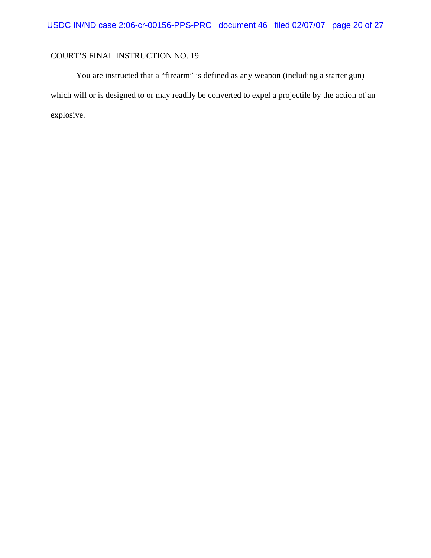You are instructed that a "firearm" is defined as any weapon (including a starter gun) which will or is designed to or may readily be converted to expel a projectile by the action of an explosive.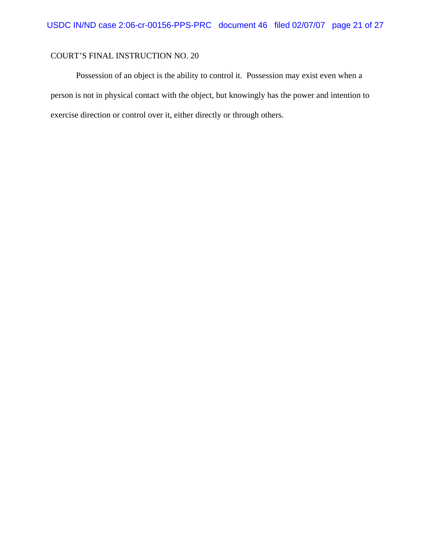Possession of an object is the ability to control it. Possession may exist even when a person is not in physical contact with the object, but knowingly has the power and intention to exercise direction or control over it, either directly or through others.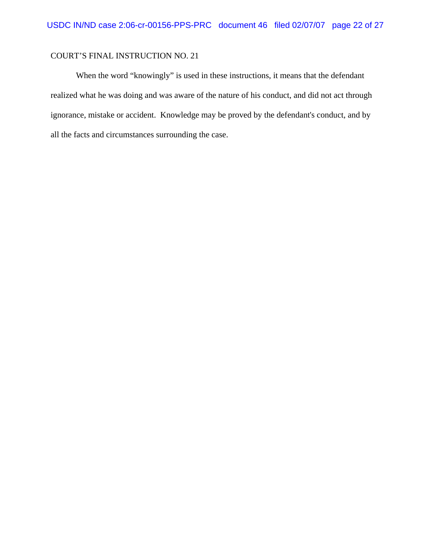When the word "knowingly" is used in these instructions, it means that the defendant realized what he was doing and was aware of the nature of his conduct, and did not act through ignorance, mistake or accident. Knowledge may be proved by the defendant's conduct, and by all the facts and circumstances surrounding the case.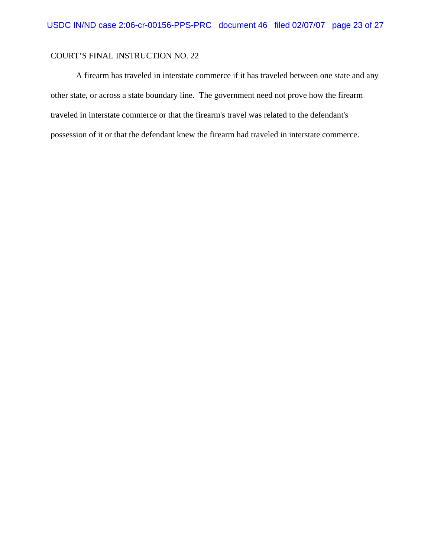A firearm has traveled in interstate commerce if it has traveled between one state and any other state, or across a state boundary line. The government need not prove how the firearm traveled in interstate commerce or that the firearm's travel was related to the defendant's possession of it or that the defendant knew the firearm had traveled in interstate commerce.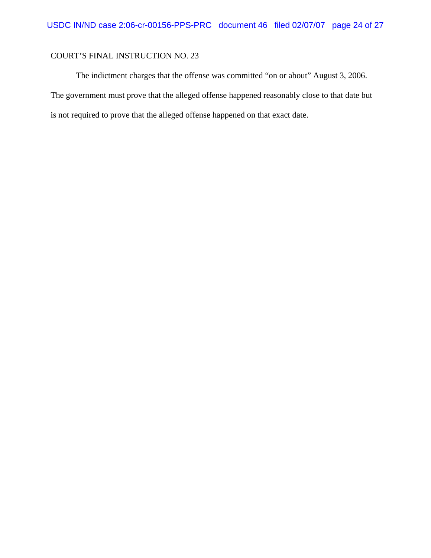The indictment charges that the offense was committed "on or about" August 3, 2006. The government must prove that the alleged offense happened reasonably close to that date but is not required to prove that the alleged offense happened on that exact date.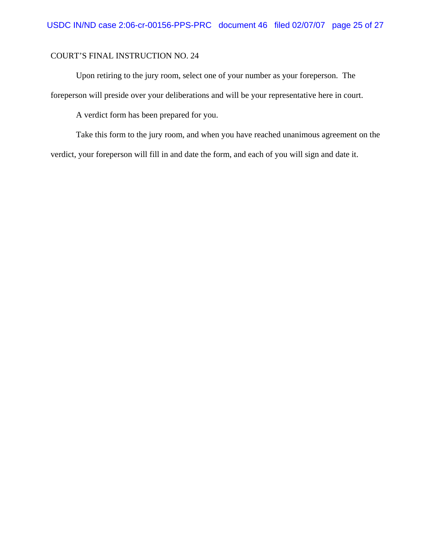Upon retiring to the jury room, select one of your number as your foreperson. The foreperson will preside over your deliberations and will be your representative here in court.

A verdict form has been prepared for you.

Take this form to the jury room, and when you have reached unanimous agreement on the verdict, your foreperson will fill in and date the form, and each of you will sign and date it.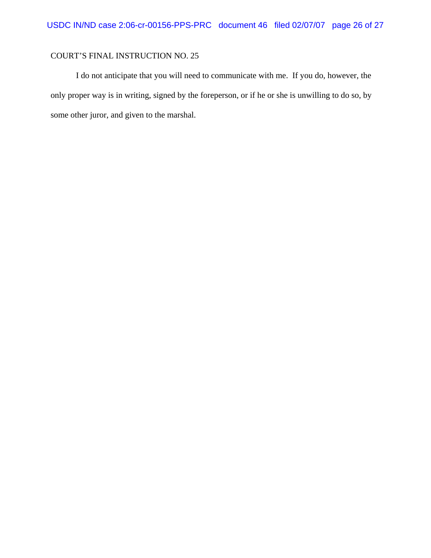I do not anticipate that you will need to communicate with me. If you do, however, the only proper way is in writing, signed by the foreperson, or if he or she is unwilling to do so, by some other juror, and given to the marshal.